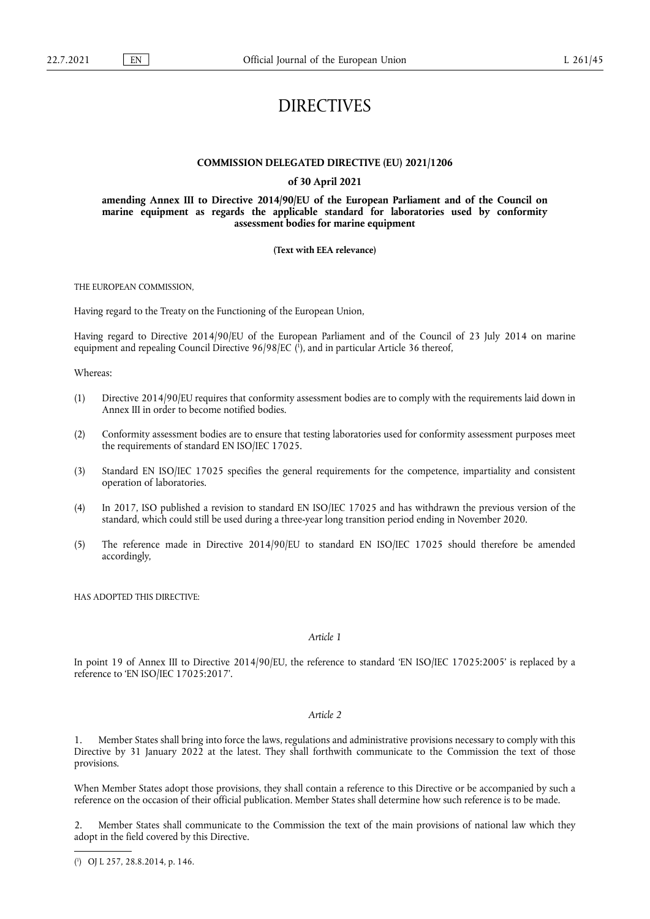# DIRECTIVES

## **COMMISSION DELEGATED DIRECTIVE (EU) 2021/1206**

### **of 30 April 2021**

**amending Annex III to Directive 2014/90/EU of the European Parliament and of the Council on marine equipment as regards the applicable standard for laboratories used by conformity assessment bodies for marine equipment** 

#### **(Text with EEA relevance)**

THE EUROPEAN COMMISSION,

Having regard to the Treaty on the Functioning of the European Union,

<span id="page-0-1"></span>Having regard to Directive 2014/90/EU of the European Parliament and of the Council of 23 July 2014 on marine equipment and repealing Council Directive 96/98/EC ( 1 [\),](#page-0-0) and in particular Article 36 thereof,

Whereas:

- (1) Directive 2014/90/EU requires that conformity assessment bodies are to comply with the requirements laid down in Annex III in order to become notified bodies.
- (2) Conformity assessment bodies are to ensure that testing laboratories used for conformity assessment purposes meet the requirements of standard EN ISO/IEC 17025.
- (3) Standard EN ISO/IEC 17025 specifies the general requirements for the competence, impartiality and consistent operation of laboratories.
- (4) In 2017, ISO published a revision to standard EN ISO/IEC 17025 and has withdrawn the previous version of the standard, which could still be used during a three-year long transition period ending in November 2020.
- (5) The reference made in Directive 2014/90/EU to standard EN ISO/IEC 17025 should therefore be amended accordingly,

HAS ADOPTED THIS DIRECTIVE:

## *Article 1*

In point 19 of Annex III to Directive 2014/90/EU, the reference to standard 'EN ISO/IEC 17025:2005' is replaced by a reference to 'EN ISO/IEC 17025:2017'.

## *Article 2*

1. Member States shall bring into force the laws, regulations and administrative provisions necessary to comply with this Directive by 31 January 2022 at the latest. They shall forthwith communicate to the Commission the text of those provisions.

When Member States adopt those provisions, they shall contain a reference to this Directive or be accompanied by such a reference on the occasion of their official publication. Member States shall determine how such reference is to be made.

2. Member States shall communicate to the Commission the text of the main provisions of national law which they adopt in the field covered by this Directive.

<span id="page-0-0"></span>[<sup>\(</sup>](#page-0-1) 1 ) OJ L 257, 28.8.2014, p. 146.